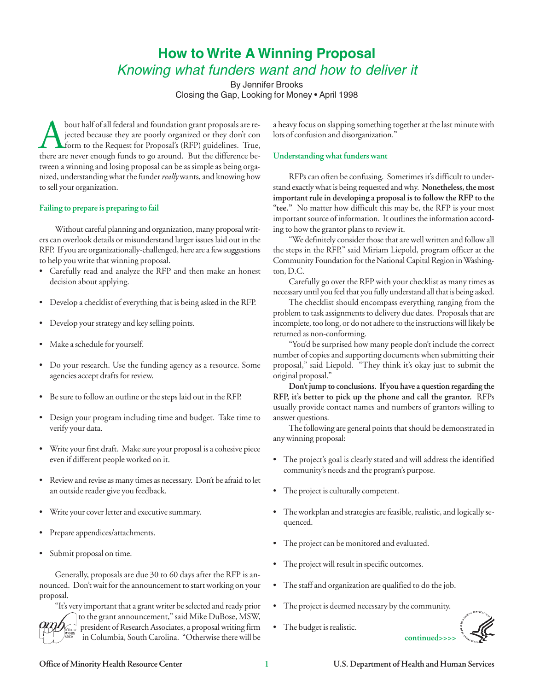## **How to Write A Winning Proposal**  Knowing what funders want and how to deliver it

By Jennifer Brooks Closing the Gap, Looking for Money • April 1998

bout half of all federal and foundation grant proposals are re-<br>
indication shapping something together at the last minute with<br>
indication grants of confusion and disorganization."<br>
interval of confusion and disorganizati jected because they are poorly organized or they don't con form to the Request for Proposal's (RFP) guidelines. True, there are never enough funds to go around. But the difference between a winning and losing proposal can be as simple as being organized, understanding what the funder *really* wants, and knowing how RFPs can often be confusing. Sometimes it's difficult to under-

Without careful planning and organization, many proposal writ- ing to how the grantor plans to review it. ers can overlook details or misunderstand larger issues laid out in the "We definitely consider those that are well written and follow all<br>RFP. If you are organizationally-challenged, here are a few suggestions the steps i to help you write that winning proposal. Community Foundation for the National Capital Region in Washing

- Carefully read and analyze the RFP and then make an honest ton, D.C.
- Develop a checklist of everything that is being asked in the RFP.
- 
- 
- Do your research. Use the funding agency as a resource. Some proposal," said Liepold. "They think it's okay just to submit the agencies accept drafts for review.  $\qquad \qquad \text{original proposal}$ ."
- 
- Design your program including time and budget. Take time to answer questions.
- • Write your first draft. Make sure your proposal is a cohesive piece
- • Review and revise as many times as necessary. Don't be afraid to let an outside reader give you feedback. • The project is culturally competent.
- 
- Prepare appendices/attachments.
- Submit proposal on time.

Generally, proposals are due 30 to 60 days after the RFP is announced. Don't wait for the announcement to start working on your • The staff and organization are qualified to do the job. proposal.

"It's very important that a grant writer be selected and ready prior • The project is deemed necessary by the community. to the grant announcement," said Mike DuBose, MSW,

president of Research Associates, a proposal writing firm • The budget is realistic. in Columbia, South Carolina. "Otherwise there will be **continued>>>>** 

to sell your organization. stand exactly what is being requested and why. **Nonetheless, the most important rule in developing a proposal is to follow the RFP to the**  Failing to prepare is preparing to fail **the set of the CFP** is your most "tee." No matter how difficult this may be, the RFP is your most important source of information. It outlines the information accord-

the steps in the RFP," said Miriam Liepold, program officer at the

decision about applying. Carefully go over the RFP with your checklist as many times as necessary until you feel that you fully understand all that is being asked.

problem to task assignments to delivery due dates. Proposals that are • Develop your strategy and key selling points. incomplete, too long, or do not adhere to the instructions will likely be returned as non-conforming.

• Make a schedule for yourself. "You'd be surprised how many people don't include the correct number of copies and supporting documents when submitting their

**Don't jump to conclusions. If you have a question regarding the**  • Be sure to follow an outline or the steps laid out in the RFP. **RFP, it's better to pick up the phone and call the grantor.** RFPs usually provide contact names and numbers of grantors willing to

verify your data. The following are general points that should be demonstrated in any winning proposal:

- even if different people worked on it.  $\bullet$  The project's goal is clearly stated and will address the identified community's needs and the program's purpose.
	-
- Write your cover letter and executive summary.  $\bullet$  The workplan and strategies are feasible, realistic, and logically sequenced.
	- The project can be monitored and evaluated.
	- The project will result in specific outcomes.
	-
	-
	-